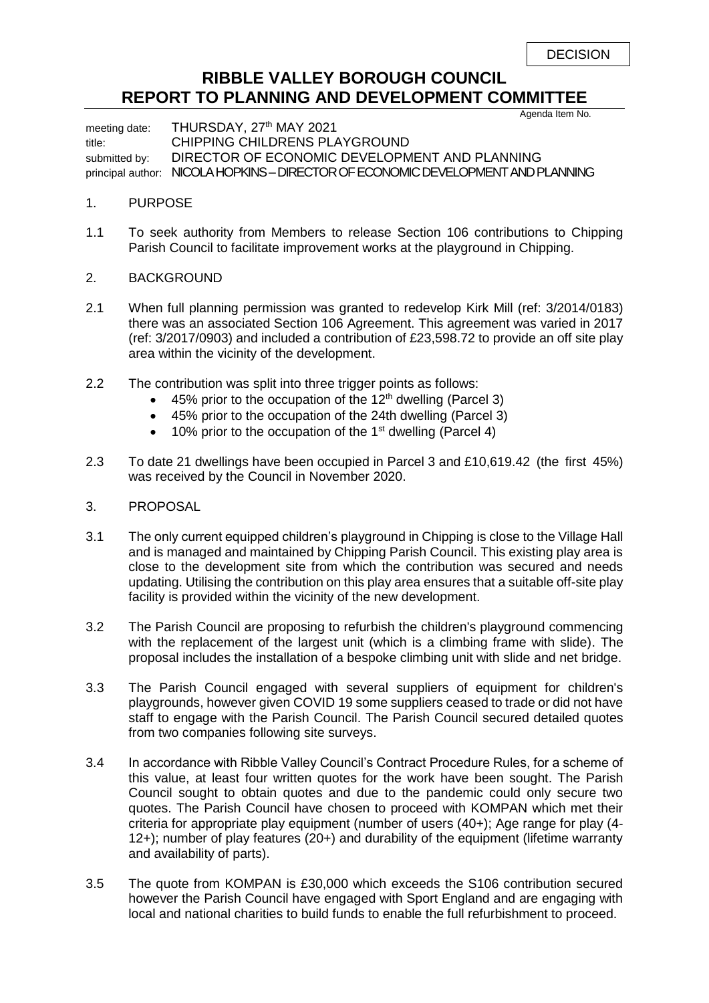## **RIBBLE VALLEY BOROUGH COUNCIL REPORT TO PLANNING AND DEVELOPMENT COMMITTEE**

Agenda Item No.

meeting date: THURSDAY, 27<sup>th</sup> MAY 2021 title: CHIPPING CHILDRENS PLAYGROUND submitted by: DIRECTOR OF ECONOMIC DEVELOPMENT AND PLANNING principal author: NICOLA HOPKINS –DIRECTOR OF ECONOMIC DEVELOPMENT AND PLANNING

## 1. PURPOSE

- 1.1 To seek authority from Members to release Section 106 contributions to Chipping Parish Council to facilitate improvement works at the playground in Chipping.
- 2. BACKGROUND
- 2.1 When full planning permission was granted to redevelop Kirk Mill (ref: 3/2014/0183) there was an associated Section 106 Agreement. This agreement was varied in 2017 (ref: 3/2017/0903) and included a contribution of £23,598.72 to provide an off site play area within the vicinity of the development.
- 2.2 The contribution was split into three trigger points as follows:
	- 45% prior to the occupation of the  $12<sup>th</sup>$  dwelling (Parcel 3)
	- 45% prior to the occupation of the 24th dwelling (Parcel 3)
	- 10% prior to the occupation of the 1<sup>st</sup> dwelling (Parcel 4)
- 2.3 To date 21 dwellings have been occupied in Parcel 3 and £10,619.42 (the first 45%) was received by the Council in November 2020.
- 3. PROPOSAL
- 3.1 The only current equipped children's playground in Chipping is close to the Village Hall and is managed and maintained by Chipping Parish Council. This existing play area is close to the development site from which the contribution was secured and needs updating. Utilising the contribution on this play area ensures that a suitable off-site play facility is provided within the vicinity of the new development.
- 3.2 The Parish Council are proposing to refurbish the children's playground commencing with the replacement of the largest unit (which is a climbing frame with slide). The proposal includes the installation of a bespoke climbing unit with slide and net bridge.
- 3.3 The Parish Council engaged with several suppliers of equipment for children's playgrounds, however given COVID 19 some suppliers ceased to trade or did not have staff to engage with the Parish Council. The Parish Council secured detailed quotes from two companies following site surveys.
- 3.4 In accordance with Ribble Valley Council's Contract Procedure Rules, for a scheme of this value, at least four written quotes for the work have been sought. The Parish Council sought to obtain quotes and due to the pandemic could only secure two quotes. The Parish Council have chosen to proceed with KOMPAN which met their criteria for appropriate play equipment (number of users (40+); Age range for play (4- 12+); number of play features (20+) and durability of the equipment (lifetime warranty and availability of parts).
- 3.5 The quote from KOMPAN is £30,000 which exceeds the S106 contribution secured however the Parish Council have engaged with Sport England and are engaging with local and national charities to build funds to enable the full refurbishment to proceed.